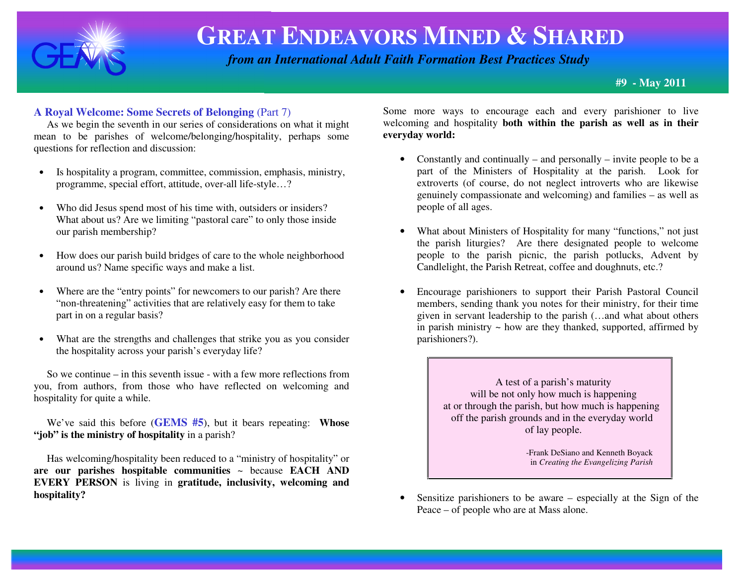

# **GREAT ENDEAVORS MINED & <sup>S</sup>HARED**

 *from an International Adult Faith Formation Best Practices Study*

**#9 - May 2011** 

#### **A Royal Welcome: Some Secrets of Belonging** (Part 7)

 As we begin the seventh in our series of considerations on what it might mean to be parishes of welcome/belonging/hospitality, perhaps some questions for reflection and discussion:

- $\bullet$  Is hospitality a program, committee, commission, emphasis, ministry, programme, special effort, attitude, over-all life-style…?
- • Who did Jesus spend most of his time with, outsiders or insiders? What about us? Are we limiting "pastoral care" to only those inside our parish membership?
- $\bullet$  How does our parish build bridges of care to the whole neighborhood around us? Name specific ways and make a list.
- •Where are the "entry points" for newcomers to our parish? Are there "non-threatening" activities that are relatively easy for them to take part in on a regular basis?
- • What are the strengths and challenges that strike you as you consider the hospitality across your parish's everyday life?

 So we continue – in this seventh issue - with a few more reflections from you, from authors, from those who have reflected on welcoming and hospitality for quite a while.

 We've said this before (**GEMS #5**), but it bears repeating: **Whose "job" is the ministry of hospitality** in a parish?

 Has welcoming/hospitality been reduced to a "ministry of hospitality" or **are our parishes hospitable communities** ~ because **EACH AND EVERY PERSON** is living in **gratitude, inclusivity, welcoming and hospitality?**

Some more ways to encourage each and every parishioner to live welcoming and hospitality **both within the parish as well as in their everyday world:**

- Constantly and continually and personally invite people to be a part of the Ministers of Hospitality at the parish. Look for extroverts (of course, do not neglect introverts who are likewise genuinely compassionate and welcoming) and families – as well as people of all ages.
- What about Ministers of Hospitality for many "functions," not just the parish liturgies? Are there designated people to welcome people to the parish picnic, the parish potlucks, Advent by Candlelight, the Parish Retreat, coffee and doughnuts, etc.?
- • Encourage parishioners to support their Parish Pastoral Council members, sending thank you notes for their ministry, for their time given in servant leadership to the parish (…and what about others in parish ministry  $\sim$  how are they thanked, supported, affirmed by parishioners?).

A test of a parish's maturity will be not only how much is happening at or through the parish, but how much is happening off the parish grounds and in the everyday world of lay people.

 -Frank DeSiano and Kenneth Boyack in *Creating the Evangelizing Parish* 

• Sensitize parishioners to be aware – especially at the Sign of the Peace – of people who are at Mass alone.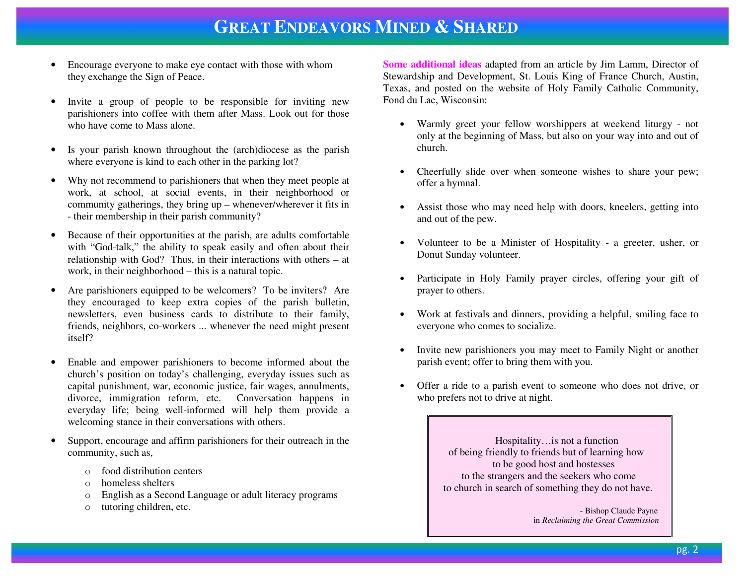### **GREAT ENDEAVORS MINED & <sup>S</sup>HARED**

- • Encourage everyone to make eye contact with those with whom they exchange the Sign of Peace.
- • Invite a group of people to be responsible for inviting new parishioners into coffee with them after Mass. Look out for those who have come to Mass alone.
- • Is your parish known throughout the (arch)diocese as the parish where everyone is kind to each other in the parking lot?
- • Why not recommend to parishioners that when they meet people at work, at school, at social events, in their neighborhood or community gatherings, they bring up – whenever/wherever it fits in - their membership in their parish community?
- $\bullet$  Because of their opportunities at the parish, are adults comfortable with "God-talk," the ability to speak easily and often about their relationship with God? Thus, in their interactions with others – at work, in their neighborhood – this is a natural topic.
- • Are parishioners equipped to be welcomers? To be inviters? Are they encouraged to keep extra copies of the parish bulletin, newsletters, even business cards to distribute to their family, friends, neighbors, co-workers ... whenever the need might present itself?
- • Enable and empower parishioners to become informed about the church's position on today's challenging, everyday issues such as capital punishment, war, economic justice, fair wages, annulments, divorce, immigration reform, etc. Conversation happens in everyday life; being well-informed will help them provide a welcoming stance in their conversations with others.
- • Support, encourage and affirm parishioners for their outreach in the community, such as,
	- o food distribution centers
	- ohomeless shelters
	- oEnglish as a Second Language or adult literacy programs
	- otutoring children, etc.

**Some additional ideas** adapted from an article by Jim Lamm, Director of Stewardship and Development, St. Louis King of France Church, Austin, Texas, and posted on the website of Holy Family Catholic Community, Fond du Lac, Wisconsin:

- Warmly greet your fellow worshippers at weekend liturgy not only at the beginning of Mass, but also on your way into and out of church.
- Cheerfully slide over when someone wishes to share your pew; offer a hymnal.
- Assist those who may need help with doors, kneelers, getting into and out of the pew.
- • Volunteer to be a Minister of Hospitality - a greeter, usher, or Donut Sunday volunteer.
- $\bullet$  Participate in Holy Family prayer circles, offering your gift of prayer to others.
- Work at festivals and dinners, providing a helpful, smiling face to everyone who comes to socialize.
- • Invite new parishioners you may meet to Family Night or another parish event; offer to bring them with you.
- Offer a ride to a parish event to someone who does not drive, or who prefers not to drive at night.

 Hospitality…is not a function of being friendly to friends but of learning how to be good host and hostesses to the strangers and the seekers who come to church in search of something they do not have.

 - Bishop Claude Payne in *Reclaiming the Great Commission*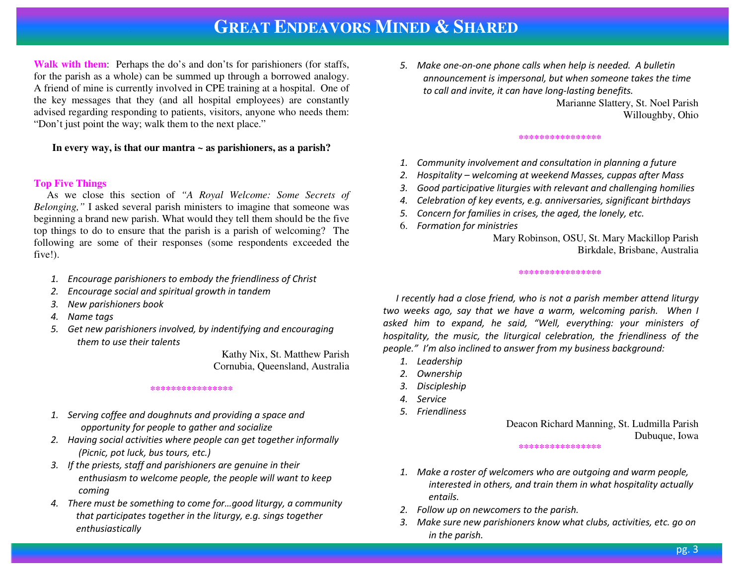### **GREAT ENDEAVORS MINED &SHARED**

**Walk with them**: Perhaps the do's and don'ts for parishioners (for staffs, for the parish as a whole) can be summed up through a borrowed analogy. A friend of mine is currently involved in CPE training at a hospital. One of the key messages that they (and all hospital employees) are constantly advised regarding responding to patients, visitors, anyone who needs them: "Don't just point the way; walk them to the next place."

#### **In every way, is that our mantra ~ as parishioners, as a parish?**

#### **Top Five Things**

 As we close this section of *"A Royal Welcome: Some Secrets of Belonging,"* I asked several parish ministers to imagine that someone was beginning a brand new parish. What would they tell them should be the five top things to do to ensure that the parish is a parish of welcoming? The following are some of their responses (some respondents exceeded the five!).

- 1. Encourage parishioners to embody the friendliness of Christ
- 2. Encourage social and spiritual growth in tandem
- 3. New parishioners book
- 4. Name tags
- 5. Get new parishioners involved, by indentifying and encouraging them to use their talents

 Kathy Nix, St. Matthew Parish Cornubia, Queensland, Australia

#### **\*\*\*\*\*\*\*\*\*\*\*\*\*\*\*\***

- 1. Serving coffee and doughnuts and providing a space and opportunity for people to gather and socialize
- 2. Having social activities where people can get together informally (Picnic, pot luck, bus tours, etc.)
- 3. If the priests, staff and parishioners are genuine in their enthusiasm to welcome people, the people will want to keep coming
- 4. There must be something to come for…good liturgy, a community that participates together in the liturgy, e.g. sings together enthusiastically

5. Make one-on-one phone calls when help is needed. A bulletin announcement is impersonal, but when someone takes the time to call and invite, it can have long-lasting benefits.

> Marianne Slattery, St. Noel Parish Willoughby, Ohio

#### \*\*\*\*\*\*\*\*\*\*\*\*\*\*

- 1. Community involvement and consultation in planning a future
- 2.Hospitality – welcoming at weekend Masses, cuppas after Mass
- 3.Good participative liturgies with relevant and challenging homilies
- 4.Celebration of key events, e.g. anniversaries, significant birthdays
- 5.Concern for families in crises, the aged, the lonely, etc.
- 6. Formation for ministries

#### Mary Robinson, OSU, St. Mary Mackillop Parish Birkdale, Brisbane, Australia

#### **\*\*\*\*\*\*\*\*\*\*\*\*\*\*\*\***

I recently had a close friend, who is not a parish member attend liturgy two weeks ago, say that we have a warm, welcoming parish. When I asked him to expand, he said, "Well, everything: your ministers of hospitality, the music, the liturgical celebration, the friendliness of the people." I'm also inclined to answer from my business background:

- 1. Leadership
- 2. Ownership
- 3. Discipleship
- 4. Service
- 5. Friendliness

Deacon Richard Manning, St. Ludmilla Parish Dubuque, Iowa

#### **\*\*\*\*\*\*\*\*\*\*\*\*\*\*\*\***

- 1. Make a roster of welcomers who are outgoing and warm people, interested in others, and train them in what hospitality actually entails.
- 2. Follow up on newcomers to the parish.
- 3. Make sure new parishioners know what clubs, activities, etc. go on in the parish.